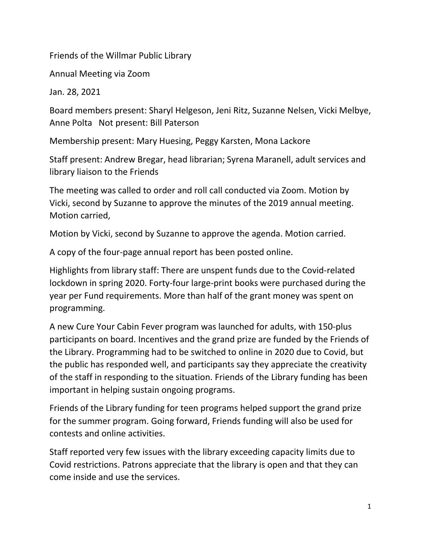Friends of the Willmar Public Library

Annual Meeting via Zoom

Jan. 28, 2021

Board members present: Sharyl Helgeson, Jeni Ritz, Suzanne Nelsen, Vicki Melbye, Anne Polta Not present: Bill Paterson

Membership present: Mary Huesing, Peggy Karsten, Mona Lackore

Staff present: Andrew Bregar, head librarian; Syrena Maranell, adult services and library liaison to the Friends

The meeting was called to order and roll call conducted via Zoom. Motion by Vicki, second by Suzanne to approve the minutes of the 2019 annual meeting. Motion carried,

Motion by Vicki, second by Suzanne to approve the agenda. Motion carried.

A copy of the four-page annual report has been posted online.

Highlights from library staff: There are unspent funds due to the Covid-related lockdown in spring 2020. Forty-four large-print books were purchased during the year per Fund requirements. More than half of the grant money was spent on programming.

A new Cure Your Cabin Fever program was launched for adults, with 150-plus participants on board. Incentives and the grand prize are funded by the Friends of the Library. Programming had to be switched to online in 2020 due to Covid, but the public has responded well, and participants say they appreciate the creativity of the staff in responding to the situation. Friends of the Library funding has been important in helping sustain ongoing programs.

Friends of the Library funding for teen programs helped support the grand prize for the summer program. Going forward, Friends funding will also be used for contests and online activities.

Staff reported very few issues with the library exceeding capacity limits due to Covid restrictions. Patrons appreciate that the library is open and that they can come inside and use the services.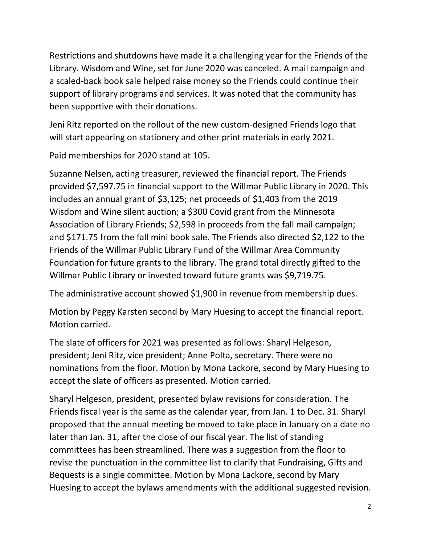Restrictions and shutdowns have made it a challenging year for the Friends of the Library. Wisdom and Wine, set for June 2020 was canceled. A mail campaign and a scaled-back book sale helped raise money so the Friends could continue their support of library programs and services. It was noted that the community has been supportive with their donations.

Jeni Ritz reported on the rollout of the new custom-designed Friends logo that will start appearing on stationery and other print materials in early 2021.

Paid memberships for 2020 stand at 105.

Suzanne Nelsen, acting treasurer, reviewed the financial report. The Friends provided \$7,597.75 in financial support to the Willmar Public Library in 2020. This includes an annual grant of \$3,125; net proceeds of \$1,403 from the 2019 Wisdom and Wine silent auction; a \$300 Covid grant from the Minnesota Association of Library Friends; \$2,598 in proceeds from the fall mail campaign; and \$171.75 from the fall mini book sale. The Friends also directed \$2,122 to the Friends of the Willmar Public Library Fund of the Willmar Area Community Foundation for future grants to the library. The grand total directly gifted to the Willmar Public Library or invested toward future grants was \$9,719.75.

The administrative account showed \$1,900 in revenue from membership dues.

Motion by Peggy Karsten second by Mary Huesing to accept the financial report. Motion carried.

The slate of officers for 2021 was presented as follows: Sharyl Helgeson, president; Jeni Ritz, vice president; Anne Polta, secretary. There were no nominations from the floor. Motion by Mona Lackore, second by Mary Huesing to accept the slate of officers as presented. Motion carried.

Sharyl Helgeson, president, presented bylaw revisions for consideration. The Friends fiscal year is the same as the calendar year, from Jan. 1 to Dec. 31. Sharyl proposed that the annual meeting be moved to take place in January on a date no later than Jan. 31, after the close of our fiscal year. The list of standing committees has been streamlined. There was a suggestion from the floor to revise the punctuation in the committee list to clarify that Fundraising, Gifts and Bequests is a single committee. Motion by Mona Lackore, second by Mary Huesing to accept the bylaws amendments with the additional suggested revision.